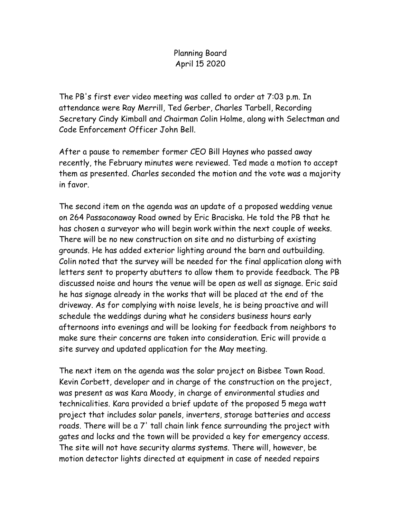## Planning Board April 15 2020

The PB's first ever video meeting was called to order at 7:03 p.m. In attendance were Ray Merrill, Ted Gerber, Charles Tarbell, Recording Secretary Cindy Kimball and Chairman Colin Holme, along with Selectman and Code Enforcement Officer John Bell.

After a pause to remember former CEO Bill Haynes who passed away recently, the February minutes were reviewed. Ted made a motion to accept them as presented. Charles seconded the motion and the vote was a majority in favor.

The second item on the agenda was an update of a proposed wedding venue on 264 Passaconaway Road owned by Eric Braciska. He told the PB that he has chosen a surveyor who will begin work within the next couple of weeks. There will be no new construction on site and no disturbing of existing grounds. He has added exterior lighting around the barn and outbuilding. Colin noted that the survey will be needed for the final application along with letters sent to property abutters to allow them to provide feedback. The PB discussed noise and hours the venue will be open as well as signage. Eric said he has signage already in the works that will be placed at the end of the driveway. As for complying with noise levels, he is being proactive and will schedule the weddings during what he considers business hours early afternoons into evenings and will be looking for feedback from neighbors to make sure their concerns are taken into consideration. Eric will provide a site survey and updated application for the May meeting.

The next item on the agenda was the solar project on Bisbee Town Road. Kevin Corbett, developer and in charge of the construction on the project, was present as was Kara Moody, in charge of environmental studies and technicalities. Kara provided a brief update of the proposed 5 mega watt project that includes solar panels, inverters, storage batteries and access roads. There will be a 7' tall chain link fence surrounding the project with gates and locks and the town will be provided a key for emergency access. The site will not have security alarms systems. There will, however, be motion detector lights directed at equipment in case of needed repairs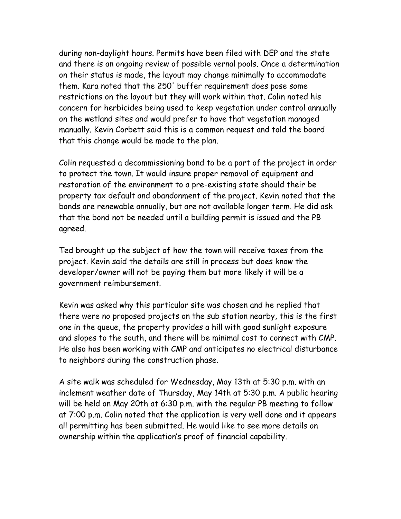during non-daylight hours. Permits have been filed with DEP and the state and there is an ongoing review of possible vernal pools. Once a determination on their status is made, the layout may change minimally to accommodate them. Kara noted that the 250' buffer requirement does pose some restrictions on the layout but they will work within that. Colin noted his concern for herbicides being used to keep vegetation under control annually on the wetland sites and would prefer to have that vegetation managed manually. Kevin Corbett said this is a common request and told the board that this change would be made to the plan.

Colin requested a decommissioning bond to be a part of the project in order to protect the town. It would insure proper removal of equipment and restoration of the environment to a pre-existing state should their be property tax default and abandonment of the project. Kevin noted that the bonds are renewable annually, but are not available longer term. He did ask that the bond not be needed until a building permit is issued and the PB agreed.

Ted brought up the subject of how the town will receive taxes from the project. Kevin said the details are still in process but does know the developer/owner will not be paying them but more likely it will be a government reimbursement.

Kevin was asked why this particular site was chosen and he replied that there were no proposed projects on the sub station nearby, this is the first one in the queue, the property provides a hill with good sunlight exposure and slopes to the south, and there will be minimal cost to connect with CMP. He also has been working with CMP and anticipates no electrical disturbance to neighbors during the construction phase.

A site walk was scheduled for Wednesday, May 13th at 5:30 p.m. with an inclement weather date of Thursday, May 14th at 5:30 p.m. A public hearing will be held on May 20th at 6:30 p.m. with the regular PB meeting to follow at 7:00 p.m. Colin noted that the application is very well done and it appears all permitting has been submitted. He would like to see more details on ownership within the application's proof of financial capability.